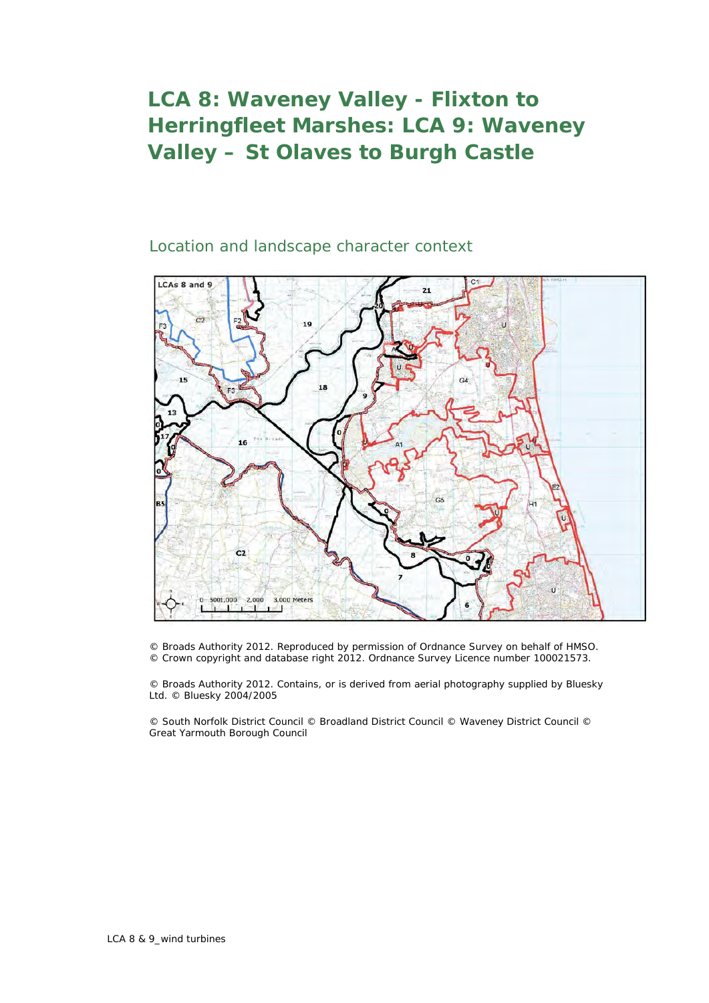## **LCA 8: Waveney Valley - Flixton to Herringfleet Marshes: LCA 9: Waveney Valley – St Olaves to Burgh Castle**

## Location and landscape character context



© Broads Authority 2012. Reproduced by permission of Ordnance Survey on behalf of HMSO. © Crown copyright and database right 2012. Ordnance Survey Licence number 100021573.

© Broads Authority 2012. Contains, or is derived from aerial photography supplied by Bluesky Ltd. © Bluesky 2004/2005

© South Norfolk District Council © Broadland District Council © Waveney District Council © Great Yarmouth Borough Council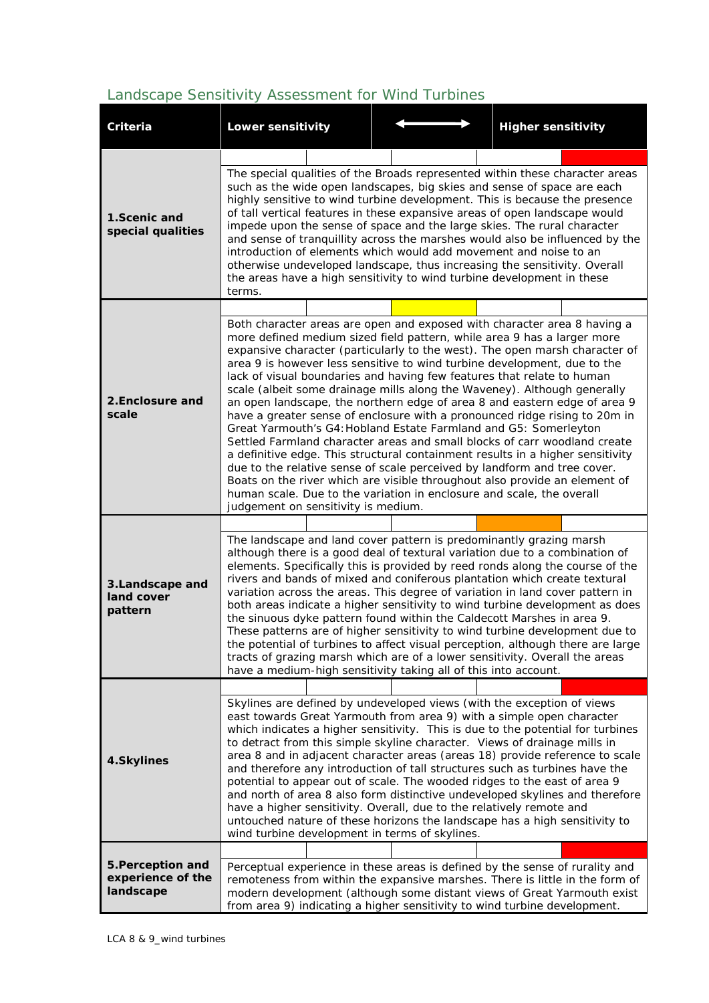## *Landscape Sensitivity Assessment for Wind Turbines*

| Criteria                                            | Lower sensitivity                                                                                                                                                                                                                                                                                                                                                                                                                                                                                                                                                                                                                                                                                                                                                                                                                                                                                  |  | <b>Higher sensitivity</b>                                                                                                                                                                                                                                                                                                       |  |  |  |
|-----------------------------------------------------|----------------------------------------------------------------------------------------------------------------------------------------------------------------------------------------------------------------------------------------------------------------------------------------------------------------------------------------------------------------------------------------------------------------------------------------------------------------------------------------------------------------------------------------------------------------------------------------------------------------------------------------------------------------------------------------------------------------------------------------------------------------------------------------------------------------------------------------------------------------------------------------------------|--|---------------------------------------------------------------------------------------------------------------------------------------------------------------------------------------------------------------------------------------------------------------------------------------------------------------------------------|--|--|--|
|                                                     |                                                                                                                                                                                                                                                                                                                                                                                                                                                                                                                                                                                                                                                                                                                                                                                                                                                                                                    |  |                                                                                                                                                                                                                                                                                                                                 |  |  |  |
| 1.Scenic and<br>special qualities                   | The special qualities of the Broads represented within these character areas<br>such as the wide open landscapes, big skies and sense of space are each<br>highly sensitive to wind turbine development. This is because the presence<br>of tall vertical features in these expansive areas of open landscape would<br>impede upon the sense of space and the large skies. The rural character<br>and sense of tranquillity across the marshes would also be influenced by the<br>introduction of elements which would add movement and noise to an<br>otherwise undeveloped landscape, thus increasing the sensitivity. Overall<br>the areas have a high sensitivity to wind turbine development in these<br>terms.                                                                                                                                                                               |  |                                                                                                                                                                                                                                                                                                                                 |  |  |  |
|                                                     |                                                                                                                                                                                                                                                                                                                                                                                                                                                                                                                                                                                                                                                                                                                                                                                                                                                                                                    |  |                                                                                                                                                                                                                                                                                                                                 |  |  |  |
| 2. Enclosure and<br>scale                           | Both character areas are open and exposed with character area 8 having a<br>more defined medium sized field pattern, while area 9 has a larger more<br>area 9 is however less sensitive to wind turbine development, due to the<br>lack of visual boundaries and having few features that relate to human<br>scale (albeit some drainage mills along the Waveney). Although generally<br>Great Yarmouth's G4: Hobland Estate Farmland and G5: Somerleyton<br>Settled Farmland character areas and small blocks of carr woodland create<br>a definitive edge. This structural containment results in a higher sensitivity<br>due to the relative sense of scale perceived by landform and tree cover.<br>Boats on the river which are visible throughout also provide an element of<br>human scale. Due to the variation in enclosure and scale, the overall<br>judgement on sensitivity is medium. |  | expansive character (particularly to the west). The open marsh character of<br>an open landscape, the northern edge of area 8 and eastern edge of area 9<br>have a greater sense of enclosure with a pronounced ridge rising to 20m in                                                                                          |  |  |  |
|                                                     |                                                                                                                                                                                                                                                                                                                                                                                                                                                                                                                                                                                                                                                                                                                                                                                                                                                                                                    |  |                                                                                                                                                                                                                                                                                                                                 |  |  |  |
| 3. Landscape and<br>land cover<br>pattern           | The landscape and land cover pattern is predominantly grazing marsh<br>although there is a good deal of textural variation due to a combination of<br>rivers and bands of mixed and coniferous plantation which create textural<br>variation across the areas. This degree of variation in land cover pattern in<br>the sinuous dyke pattern found within the Caldecott Marshes in area 9.<br>tracts of grazing marsh which are of a lower sensitivity. Overall the areas<br>have a medium-high sensitivity taking all of this into account.                                                                                                                                                                                                                                                                                                                                                       |  | elements. Specifically this is provided by reed ronds along the course of the<br>both areas indicate a higher sensitivity to wind turbine development as does<br>These patterns are of higher sensitivity to wind turbine development due to<br>the potential of turbines to affect visual perception, although there are large |  |  |  |
|                                                     |                                                                                                                                                                                                                                                                                                                                                                                                                                                                                                                                                                                                                                                                                                                                                                                                                                                                                                    |  |                                                                                                                                                                                                                                                                                                                                 |  |  |  |
| 4.Skylines                                          | Skylines are defined by undeveloped views (with the exception of views<br>east towards Great Yarmouth from area 9) with a simple open character<br>to detract from this simple skyline character. Views of drainage mills in<br>and therefore any introduction of tall structures such as turbines have the<br>potential to appear out of scale. The wooded ridges to the east of area 9<br>have a higher sensitivity. Overall, due to the relatively remote and<br>untouched nature of these horizons the landscape has a high sensitivity to<br>wind turbine development in terms of skylines.                                                                                                                                                                                                                                                                                                   |  | which indicates a higher sensitivity. This is due to the potential for turbines<br>area 8 and in adjacent character areas (areas 18) provide reference to scale<br>and north of area 8 also form distinctive undeveloped skylines and therefore                                                                                 |  |  |  |
|                                                     |                                                                                                                                                                                                                                                                                                                                                                                                                                                                                                                                                                                                                                                                                                                                                                                                                                                                                                    |  |                                                                                                                                                                                                                                                                                                                                 |  |  |  |
| 5. Perception and<br>experience of the<br>landscape | from area 9) indicating a higher sensitivity to wind turbine development.                                                                                                                                                                                                                                                                                                                                                                                                                                                                                                                                                                                                                                                                                                                                                                                                                          |  | Perceptual experience in these areas is defined by the sense of rurality and<br>remoteness from within the expansive marshes. There is little in the form of<br>modern development (although some distant views of Great Yarmouth exist                                                                                         |  |  |  |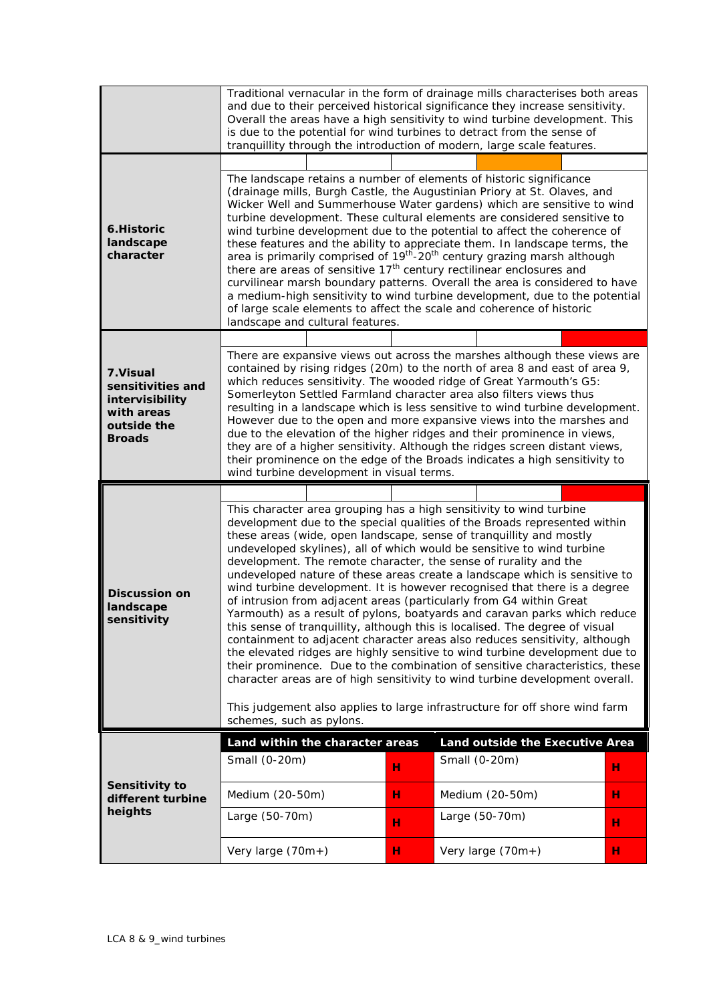|                                                                                                 | Traditional vernacular in the form of drainage mills characterises both areas<br>and due to their perceived historical significance they increase sensitivity.<br>Overall the areas have a high sensitivity to wind turbine development. This<br>is due to the potential for wind turbines to detract from the sense of<br>tranquillity through the introduction of modern, large scale features.                                                                                                                                                                                                                                                                                                                                                                                                                                                                                                                                  |   |                                                                                                                                                                                                                                                                                                                                                                                                                                                                                                                                                                                                                                                                                                                                                                                                                                                                                                                                                                |   |  |
|-------------------------------------------------------------------------------------------------|------------------------------------------------------------------------------------------------------------------------------------------------------------------------------------------------------------------------------------------------------------------------------------------------------------------------------------------------------------------------------------------------------------------------------------------------------------------------------------------------------------------------------------------------------------------------------------------------------------------------------------------------------------------------------------------------------------------------------------------------------------------------------------------------------------------------------------------------------------------------------------------------------------------------------------|---|----------------------------------------------------------------------------------------------------------------------------------------------------------------------------------------------------------------------------------------------------------------------------------------------------------------------------------------------------------------------------------------------------------------------------------------------------------------------------------------------------------------------------------------------------------------------------------------------------------------------------------------------------------------------------------------------------------------------------------------------------------------------------------------------------------------------------------------------------------------------------------------------------------------------------------------------------------------|---|--|
| 6.Historic<br>landscape<br>character                                                            | The landscape retains a number of elements of historic significance<br>(drainage mills, Burgh Castle, the Augustinian Priory at St. Olaves, and<br>Wicker Well and Summerhouse Water gardens) which are sensitive to wind<br>turbine development. These cultural elements are considered sensitive to<br>wind turbine development due to the potential to affect the coherence of<br>these features and the ability to appreciate them. In landscape terms, the<br>area is primarily comprised of 19 <sup>th</sup> -20 <sup>th</sup> century grazing marsh although<br>there are areas of sensitive 17 <sup>th</sup> century rectilinear enclosures and<br>curvilinear marsh boundary patterns. Overall the area is considered to have<br>a medium-high sensitivity to wind turbine development, due to the potential<br>of large scale elements to affect the scale and coherence of historic<br>landscape and cultural features. |   |                                                                                                                                                                                                                                                                                                                                                                                                                                                                                                                                                                                                                                                                                                                                                                                                                                                                                                                                                                |   |  |
| 7. Visual<br>sensitivities and<br>intervisibility<br>with areas<br>outside the<br><b>Broads</b> | There are expansive views out across the marshes although these views are<br>contained by rising ridges (20m) to the north of area 8 and east of area 9,<br>which reduces sensitivity. The wooded ridge of Great Yarmouth's G5:<br>Somerleyton Settled Farmland character area also filters views thus<br>resulting in a landscape which is less sensitive to wind turbine development.<br>However due to the open and more expansive views into the marshes and<br>due to the elevation of the higher ridges and their prominence in views,<br>they are of a higher sensitivity. Although the ridges screen distant views,<br>their prominence on the edge of the Broads indicates a high sensitivity to<br>wind turbine development in visual terms.                                                                                                                                                                             |   |                                                                                                                                                                                                                                                                                                                                                                                                                                                                                                                                                                                                                                                                                                                                                                                                                                                                                                                                                                |   |  |
|                                                                                                 |                                                                                                                                                                                                                                                                                                                                                                                                                                                                                                                                                                                                                                                                                                                                                                                                                                                                                                                                    |   |                                                                                                                                                                                                                                                                                                                                                                                                                                                                                                                                                                                                                                                                                                                                                                                                                                                                                                                                                                |   |  |
| <b>Discussion on</b><br>landscape<br>sensitivity                                                | This character area grouping has a high sensitivity to wind turbine<br>development. The remote character, the sense of rurality and the<br>of intrusion from adjacent areas (particularly from G4 within Great<br>schemes, such as pylons.                                                                                                                                                                                                                                                                                                                                                                                                                                                                                                                                                                                                                                                                                         |   | development due to the special qualities of the Broads represented within<br>these areas (wide, open landscape, sense of tranquillity and mostly<br>undeveloped skylines), all of which would be sensitive to wind turbine<br>undeveloped nature of these areas create a landscape which is sensitive to<br>wind turbine development. It is however recognised that there is a degree<br>Yarmouth) as a result of pylons, boatyards and caravan parks which reduce<br>this sense of tranquillity, although this is localised. The degree of visual<br>containment to adjacent character areas also reduces sensitivity, although<br>the elevated ridges are highly sensitive to wind turbine development due to<br>their prominence. Due to the combination of sensitive characteristics, these<br>character areas are of high sensitivity to wind turbine development overall.<br>This judgement also applies to large infrastructure for off shore wind farm |   |  |
|                                                                                                 | Land within the character areas                                                                                                                                                                                                                                                                                                                                                                                                                                                                                                                                                                                                                                                                                                                                                                                                                                                                                                    |   | Land outside the Executive Area                                                                                                                                                                                                                                                                                                                                                                                                                                                                                                                                                                                                                                                                                                                                                                                                                                                                                                                                |   |  |
|                                                                                                 | Small (0-20m)                                                                                                                                                                                                                                                                                                                                                                                                                                                                                                                                                                                                                                                                                                                                                                                                                                                                                                                      | н | Small (0-20m)                                                                                                                                                                                                                                                                                                                                                                                                                                                                                                                                                                                                                                                                                                                                                                                                                                                                                                                                                  | н |  |
| Sensitivity to<br>different turbine                                                             | Medium (20-50m)                                                                                                                                                                                                                                                                                                                                                                                                                                                                                                                                                                                                                                                                                                                                                                                                                                                                                                                    | н | Medium (20-50m)                                                                                                                                                                                                                                                                                                                                                                                                                                                                                                                                                                                                                                                                                                                                                                                                                                                                                                                                                | н |  |
| heights                                                                                         | Large (50-70m)                                                                                                                                                                                                                                                                                                                                                                                                                                                                                                                                                                                                                                                                                                                                                                                                                                                                                                                     | н | Large (50-70m)                                                                                                                                                                                                                                                                                                                                                                                                                                                                                                                                                                                                                                                                                                                                                                                                                                                                                                                                                 | н |  |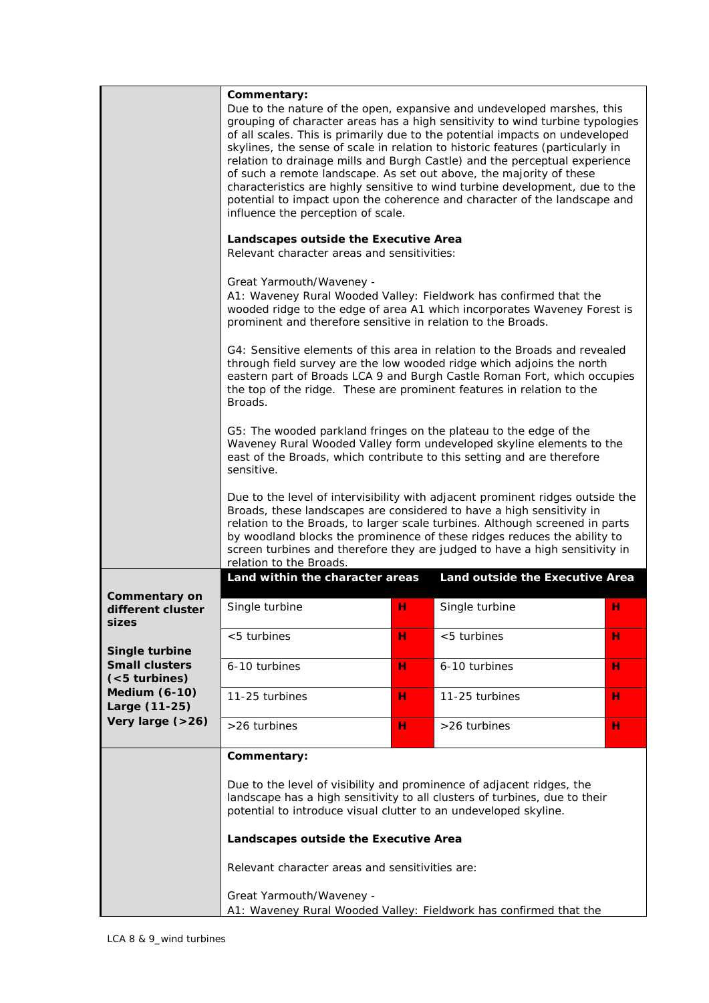|                                                  | Commentary:                                                                                                                                                                                                                                                                                                                                                                                                                                                                                                                                                                                                                                                                       |   |                                 |   |  |  |
|--------------------------------------------------|-----------------------------------------------------------------------------------------------------------------------------------------------------------------------------------------------------------------------------------------------------------------------------------------------------------------------------------------------------------------------------------------------------------------------------------------------------------------------------------------------------------------------------------------------------------------------------------------------------------------------------------------------------------------------------------|---|---------------------------------|---|--|--|
|                                                  | Due to the nature of the open, expansive and undeveloped marshes, this<br>grouping of character areas has a high sensitivity to wind turbine typologies<br>of all scales. This is primarily due to the potential impacts on undeveloped<br>skylines, the sense of scale in relation to historic features (particularly in<br>relation to drainage mills and Burgh Castle) and the perceptual experience<br>of such a remote landscape. As set out above, the majority of these<br>characteristics are highly sensitive to wind turbine development, due to the<br>potential to impact upon the coherence and character of the landscape and<br>influence the perception of scale. |   |                                 |   |  |  |
|                                                  | Landscapes outside the Executive Area<br>Relevant character areas and sensitivities:                                                                                                                                                                                                                                                                                                                                                                                                                                                                                                                                                                                              |   |                                 |   |  |  |
|                                                  | Great Yarmouth/Waveney -<br>A1: Waveney Rural Wooded Valley: Fieldwork has confirmed that the<br>wooded ridge to the edge of area A1 which incorporates Waveney Forest is<br>prominent and therefore sensitive in relation to the Broads.                                                                                                                                                                                                                                                                                                                                                                                                                                         |   |                                 |   |  |  |
|                                                  | G4: Sensitive elements of this area in relation to the Broads and revealed<br>through field survey are the low wooded ridge which adjoins the north<br>eastern part of Broads LCA 9 and Burgh Castle Roman Fort, which occupies<br>the top of the ridge. These are prominent features in relation to the<br>Broads.<br>G5: The wooded parkland fringes on the plateau to the edge of the<br>Waveney Rural Wooded Valley form undeveloped skyline elements to the<br>east of the Broads, which contribute to this setting and are therefore<br>sensitive.                                                                                                                          |   |                                 |   |  |  |
|                                                  |                                                                                                                                                                                                                                                                                                                                                                                                                                                                                                                                                                                                                                                                                   |   |                                 |   |  |  |
|                                                  | Due to the level of intervisibility with adjacent prominent ridges outside the<br>Broads, these landscapes are considered to have a high sensitivity in<br>relation to the Broads, to larger scale turbines. Although screened in parts<br>by woodland blocks the prominence of these ridges reduces the ability to<br>screen turbines and therefore they are judged to have a high sensitivity in<br>relation to the Broads.                                                                                                                                                                                                                                                     |   |                                 |   |  |  |
|                                                  | Land within the character areas                                                                                                                                                                                                                                                                                                                                                                                                                                                                                                                                                                                                                                                   |   | Land outside the Executive Area |   |  |  |
| Commentary on<br>different cluster<br>sizes      | Single turbine                                                                                                                                                                                                                                                                                                                                                                                                                                                                                                                                                                                                                                                                    | н | Single turbine                  | н |  |  |
| Single turbine                                   | <5 turbines                                                                                                                                                                                                                                                                                                                                                                                                                                                                                                                                                                                                                                                                       | н | <5 turbines                     | н |  |  |
| <b>Small clusters</b><br>( <sub>5</sub> turbins) | 6-10 turbines                                                                                                                                                                                                                                                                                                                                                                                                                                                                                                                                                                                                                                                                     | н | 6-10 turbines                   | н |  |  |
| <b>Medium (6-10)</b><br>Large (11-25)            | 11-25 turbines                                                                                                                                                                                                                                                                                                                                                                                                                                                                                                                                                                                                                                                                    | н | 11-25 turbines                  | н |  |  |
| Very large (>26)                                 | >26 turbines                                                                                                                                                                                                                                                                                                                                                                                                                                                                                                                                                                                                                                                                      | н | >26 turbines                    | н |  |  |
|                                                  | Commentary:                                                                                                                                                                                                                                                                                                                                                                                                                                                                                                                                                                                                                                                                       |   |                                 |   |  |  |
|                                                  | Due to the level of visibility and prominence of adjacent ridges, the<br>landscape has a high sensitivity to all clusters of turbines, due to their<br>potential to introduce visual clutter to an undeveloped skyline.                                                                                                                                                                                                                                                                                                                                                                                                                                                           |   |                                 |   |  |  |
|                                                  | Landscapes outside the Executive Area                                                                                                                                                                                                                                                                                                                                                                                                                                                                                                                                                                                                                                             |   |                                 |   |  |  |
|                                                  | Relevant character areas and sensitivities are:                                                                                                                                                                                                                                                                                                                                                                                                                                                                                                                                                                                                                                   |   |                                 |   |  |  |
|                                                  | Great Yarmouth/Waveney -<br>A1: Waveney Rural Wooded Valley: Fieldwork has confirmed that the                                                                                                                                                                                                                                                                                                                                                                                                                                                                                                                                                                                     |   |                                 |   |  |  |